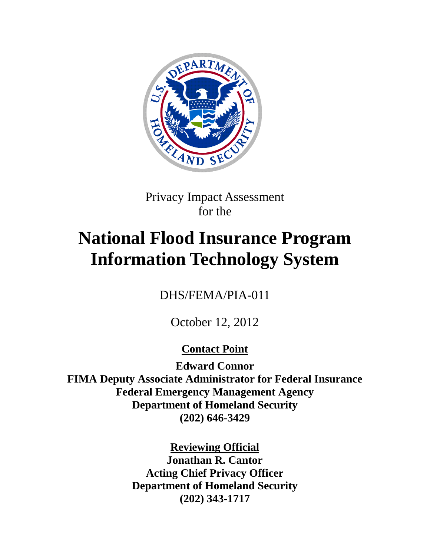

Privacy Impact Assessment for the

# **National Flood Insurance Program Information Technology System**

DHS/FEMA/PIA-011

October 12, 2012

**Contact Point**

**Edward Connor FIMA Deputy Associate Administrator for Federal Insurance Federal Emergency Management Agency Department of Homeland Security (202) 646-3429**

> **Reviewing Official Jonathan R. Cantor Acting Chief Privacy Officer Department of Homeland Security (202) 343-1717**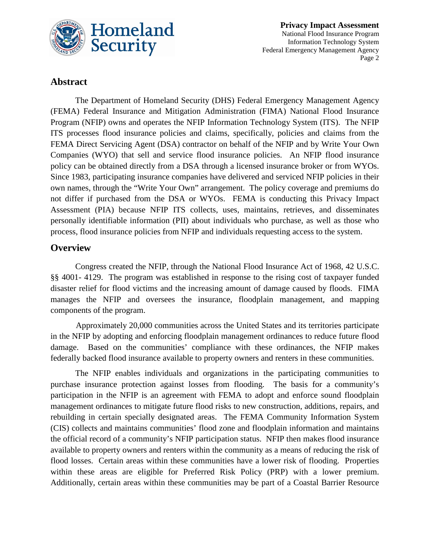

### **Abstract**

The Department of Homeland Security (DHS) Federal Emergency Management Agency (FEMA) Federal Insurance and Mitigation Administration (FIMA) National Flood Insurance Program (NFIP) owns and operates the NFIP Information Technology System (ITS). The NFIP ITS processes flood insurance policies and claims, specifically, policies and claims from the FEMA Direct Servicing Agent (DSA) contractor on behalf of the NFIP and by Write Your Own Companies (WYO) that sell and service flood insurance policies. An NFIP flood insurance policy can be obtained directly from a DSA through a licensed insurance broker or from WYOs. Since 1983, participating insurance companies have delivered and serviced NFIP policies in their own names, through the "Write Your Own" arrangement. The policy coverage and premiums do not differ if purchased from the DSA or WYOs. FEMA is conducting this Privacy Impact Assessment (PIA) because NFIP ITS collects, uses, maintains, retrieves, and disseminates personally identifiable information (PII) about individuals who purchase, as well as those who process, flood insurance policies from NFIP and individuals requesting access to the system.

### **Overview**

Congress created the NFIP, through the National Flood Insurance Act of 1968, 42 U.S.C. §§ 4001- 4129. The program was established in response to the rising cost of taxpayer funded disaster relief for flood victims and the increasing amount of damage caused by floods. FIMA manages the NFIP and oversees the insurance, floodplain management, and mapping components of the program.

Approximately 20,000 communities across the United States and its territories participate in the NFIP by adopting and enforcing floodplain management ordinances to reduce future flood damage. Based on the communities' compliance with these ordinances, the NFIP makes federally backed flood insurance available to property owners and renters in these communities.

The NFIP enables individuals and organizations in the participating communities to purchase insurance protection against losses from flooding. The basis for a community's participation in the NFIP is an agreement with FEMA to adopt and enforce sound floodplain management ordinances to mitigate future flood risks to new construction, additions, repairs, and rebuilding in certain specially designated areas. The FEMA Community Information System (CIS) collects and maintains communities' flood zone and floodplain information and maintains the official record of a community's NFIP participation status. NFIP then makes flood insurance available to property owners and renters within the community as a means of reducing the risk of flood losses. Certain areas within these communities have a lower risk of flooding. Properties within these areas are eligible for Preferred Risk Policy (PRP) with a lower premium. Additionally, certain areas within these communities may be part of a Coastal Barrier Resource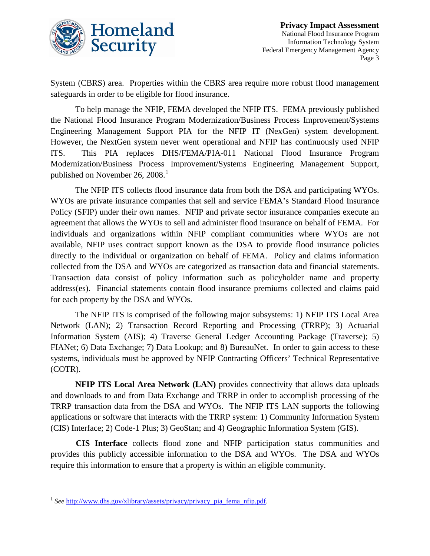

System (CBRS) area. Properties within the CBRS area require more robust flood management safeguards in order to be eligible for flood insurance.

To help manage the NFIP, FEMA developed the NFIP ITS. FEMA previously published the National Flood Insurance Program Modernization/Business Process Improvement/Systems Engineering Management Support PIA for the NFIP IT (NexGen) system development. However, the NextGen system never went operational and NFIP has continuously used NFIP ITS. This PIA replaces DHS/FEMA/PIA-011 National Flood Insurance Program Modernization/Business Process Improvement/Systems Engineering Management Support, published on November 26,  $2008<sup>1</sup>$  $2008<sup>1</sup>$  $2008<sup>1</sup>$ 

The NFIP ITS collects flood insurance data from both the DSA and participating WYOs. WYOs are private insurance companies that sell and service FEMA's Standard Flood Insurance Policy (SFIP) under their own names. NFIP and private sector insurance companies execute an agreement that allows the WYOs to sell and administer flood insurance on behalf of FEMA. For individuals and organizations within NFIP compliant communities where WYOs are not available, NFIP uses contract support known as the DSA to provide flood insurance policies directly to the individual or organization on behalf of FEMA. Policy and claims information collected from the DSA and WYOs are categorized as transaction data and financial statements. Transaction data consist of policy information such as policyholder name and property address(es). Financial statements contain flood insurance premiums collected and claims paid for each property by the DSA and WYOs.

The NFIP ITS is comprised of the following major subsystems: 1) NFIP ITS Local Area Network (LAN); 2) Transaction Record Reporting and Processing (TRRP); 3) Actuarial Information System (AIS); 4) Traverse General Ledger Accounting Package (Traverse); 5) FIANet; 6) Data Exchange; 7) Data Lookup; and 8) BureauNet. In order to gain access to these systems, individuals must be approved by NFIP Contracting Officers' Technical Representative (COTR).

**NFIP ITS Local Area Network (LAN)** provides connectivity that allows data uploads and downloads to and from Data Exchange and TRRP in order to accomplish processing of the TRRP transaction data from the DSA and WYOs. The NFIP ITS LAN supports the following applications or software that interacts with the TRRP system: 1) Community Information System (CIS) Interface; 2) Code-1 Plus; 3) GeoStan; and 4) Geographic Information System (GIS).

**CIS Interface** collects flood zone and NFIP participation status communities and provides this publicly accessible information to the DSA and WYOs. The DSA and WYOs require this information to ensure that a property is within an eligible community.

<span id="page-2-0"></span><sup>&</sup>lt;sup>1</sup> See [http://www.dhs.gov/xlibrary/assets/privacy/privacy\\_pia\\_fema\\_nfip.pdf.](http://www.dhs.gov/xlibrary/assets/privacy/privacy_pia_fema_nfip.pdf)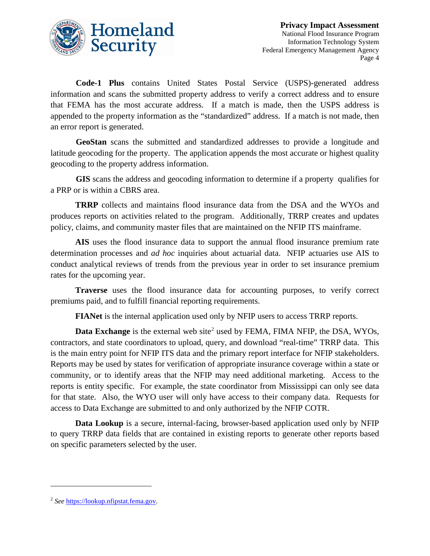

**Code-1 Plus** contains United States Postal Service (USPS)-generated address information and scans the submitted property address to verify a correct address and to ensure that FEMA has the most accurate address. If a match is made, then the USPS address is appended to the property information as the "standardized" address. If a match is not made, then an error report is generated.

**GeoStan** scans the submitted and standardized addresses to provide a longitude and latitude geocoding for the property. The application appends the most accurate or highest quality geocoding to the property address information.

**GIS** scans the address and geocoding information to determine if a property qualifies for a PRP or is within a CBRS area.

**TRRP** collects and maintains flood insurance data from the DSA and the WYOs and produces reports on activities related to the program. Additionally, TRRP creates and updates policy, claims, and community master files that are maintained on the NFIP ITS mainframe.

**AIS** uses the flood insurance data to support the annual flood insurance premium rate determination processes and *ad hoc* inquiries about actuarial data. NFIP actuaries use AIS to conduct analytical reviews of trends from the previous year in order to set insurance premium rates for the upcoming year.

**Traverse** uses the flood insurance data for accounting purposes, to verify correct premiums paid, and to fulfill financial reporting requirements.

**FIANet** is the internal application used only by NFIP users to access TRRP reports.

**Data Exchange** is the external web site<sup>[2](#page-3-0)</sup> used by FEMA, FIMA NFIP, the DSA, WYOs, contractors, and state coordinators to upload, query, and download "real-time" TRRP data. This is the main entry point for NFIP ITS data and the primary report interface for NFIP stakeholders. Reports may be used by states for verification of appropriate insurance coverage within a state or community, or to identify areas that the NFIP may need additional marketing. Access to the reports is entity specific. For example, the state coordinator from Mississippi can only see data for that state. Also, the WYO user will only have access to their company data. Requests for access to Data Exchange are submitted to and only authorized by the NFIP COTR.

**Data Lookup** is a secure, internal-facing, browser-based application used only by NFIP to query TRRP data fields that are contained in existing reports to generate other reports based on specific parameters selected by the user.

<span id="page-3-0"></span><sup>2</sup> *See* [https://lookup.nfipstat.fema.gov.](https://lookup.nfipstat.fema.gov/)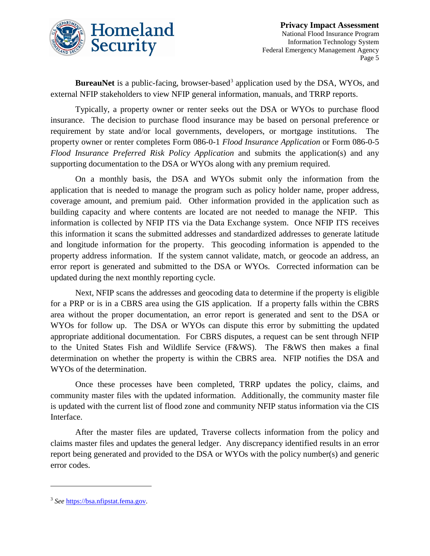

**BureauNet** is a public-facing, browser-based<sup>[3](#page-4-0)</sup> application used by the DSA, WYOs, and external NFIP stakeholders to view NFIP general information, manuals, and TRRP reports.

Typically, a property owner or renter seeks out the DSA or WYOs to purchase flood insurance. The decision to purchase flood insurance may be based on personal preference or requirement by state and/or local governments, developers, or mortgage institutions. The property owner or renter completes Form 086-0-1 *Flood Insurance Application* or Form 086-0-5 *Flood Insurance Preferred Risk Policy Application* and submits the application(s) and any supporting documentation to the DSA or WYOs along with any premium required.

On a monthly basis, the DSA and WYOs submit only the information from the application that is needed to manage the program such as policy holder name, proper address, coverage amount, and premium paid. Other information provided in the application such as building capacity and where contents are located are not needed to manage the NFIP. This information is collected by NFIP ITS via the Data Exchange system. Once NFIP ITS receives this information it scans the submitted addresses and standardized addresses to generate latitude and longitude information for the property. This geocoding information is appended to the property address information. If the system cannot validate, match, or geocode an address, an error report is generated and submitted to the DSA or WYOs. Corrected information can be updated during the next monthly reporting cycle.

Next, NFIP scans the addresses and geocoding data to determine if the property is eligible for a PRP or is in a CBRS area using the GIS application. If a property falls within the CBRS area without the proper documentation, an error report is generated and sent to the DSA or WYOs for follow up. The DSA or WYOs can dispute this error by submitting the updated appropriate additional documentation. For CBRS disputes, a request can be sent through NFIP to the United States Fish and Wildlife Service (F&WS). The F&WS then makes a final determination on whether the property is within the CBRS area. NFIP notifies the DSA and WYOs of the determination.

Once these processes have been completed, TRRP updates the policy, claims, and community master files with the updated information. Additionally, the community master file is updated with the current list of flood zone and community NFIP status information via the CIS Interface.

After the master files are updated, Traverse collects information from the policy and claims master files and updates the general ledger. Any discrepancy identified results in an error report being generated and provided to the DSA or WYOs with the policy number(s) and generic error codes.

<span id="page-4-0"></span><sup>3</sup> *See* [https://bsa.nfipstat.fema.gov.](https://bsa.nfipstat.fema.gov/)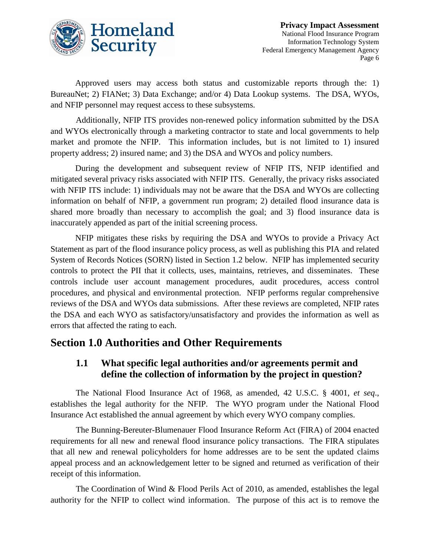

Approved users may access both status and customizable reports through the: 1) BureauNet; 2) FIANet; 3) Data Exchange; and/or 4) Data Lookup systems. The DSA, WYOs, and NFIP personnel may request access to these subsystems.

Additionally, NFIP ITS provides non-renewed policy information submitted by the DSA and WYOs electronically through a marketing contractor to state and local governments to help market and promote the NFIP. This information includes, but is not limited to 1) insured property address; 2) insured name; and 3) the DSA and WYOs and policy numbers.

During the development and subsequent review of NFIP ITS, NFIP identified and mitigated several privacy risks associated with NFIP ITS. Generally, the privacy risks associated with NFIP ITS include: 1) individuals may not be aware that the DSA and WYOs are collecting information on behalf of NFIP, a government run program; 2) detailed flood insurance data is shared more broadly than necessary to accomplish the goal; and 3) flood insurance data is inaccurately appended as part of the initial screening process.

NFIP mitigates these risks by requiring the DSA and WYOs to provide a Privacy Act Statement as part of the flood insurance policy process, as well as publishing this PIA and related System of Records Notices (SORN) listed in Section 1.2 below. NFIP has implemented security controls to protect the PII that it collects, uses, maintains, retrieves, and disseminates. These controls include user account management procedures, audit procedures, access control procedures, and physical and environmental protection. NFIP performs regular comprehensive reviews of the DSA and WYOs data submissions. After these reviews are completed, NFIP rates the DSA and each WYO as satisfactory/unsatisfactory and provides the information as well as errors that affected the rating to each.

# **Section 1.0 Authorities and Other Requirements**

### **1.1 What specific legal authorities and/or agreements permit and define the collection of information by the project in question?**

The National Flood Insurance Act of 1968, as amended, 42 U.S.C. § 4001, *et seq*., establishes the legal authority for the NFIP. The WYO program under the National Flood Insurance Act established the annual agreement by which every WYO company complies.

The Bunning-Bereuter-Blumenauer Flood Insurance Reform Act (FIRA) of 2004 enacted requirements for all new and renewal flood insurance policy transactions. The FIRA stipulates that all new and renewal policyholders for home addresses are to be sent the updated claims appeal process and an acknowledgement letter to be signed and returned as verification of their receipt of this information.

The Coordination of Wind & Flood Perils Act of 2010, as amended, establishes the legal authority for the NFIP to collect wind information. The purpose of this act is to remove the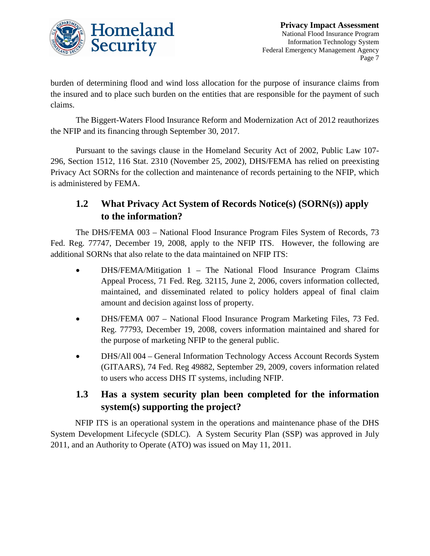

burden of determining flood and wind loss allocation for the purpose of insurance claims from the insured and to place such burden on the entities that are responsible for the payment of such claims.

The Biggert-Waters Flood Insurance Reform and Modernization Act of 2012 reauthorizes the NFIP and its financing through September 30, 2017.

Pursuant to the savings clause in the Homeland Security Act of 2002, Public Law 107- 296, Section 1512, 116 Stat. 2310 (November 25, 2002), DHS/FEMA has relied on preexisting Privacy Act SORNs for the collection and maintenance of records pertaining to the NFIP, which is administered by FEMA.

# **1.2 What Privacy Act System of Records Notice(s) (SORN(s)) apply to the information?**

The DHS/FEMA 003 – National Flood Insurance Program Files System of Records, 73 Fed. Reg. 77747, December 19, 2008, apply to the NFIP ITS. However, the following are additional SORNs that also relate to the data maintained on NFIP ITS:

- DHS/FEMA/Mitigation 1 The National Flood Insurance Program Claims Appeal Process, 71 Fed. Reg. 32115, June 2, 2006, covers information collected, maintained, and disseminated related to policy holders appeal of final claim amount and decision against loss of property.
- DHS/FEMA 007 National Flood Insurance Program Marketing Files, 73 Fed. Reg. 77793, December 19, 2008, covers information maintained and shared for the purpose of marketing NFIP to the general public.
- DHS/All 004 General Information Technology Access Account Records System (GITAARS), 74 Fed. Reg 49882, September 29, 2009, covers information related to users who access DHS IT systems, including NFIP.

# **1.3 Has a system security plan been completed for the information system(s) supporting the project?**

NFIP ITS is an operational system in the operations and maintenance phase of the DHS System Development Lifecycle (SDLC). A System Security Plan (SSP) was approved in July 2011, and an Authority to Operate (ATO) was issued on May 11, 2011.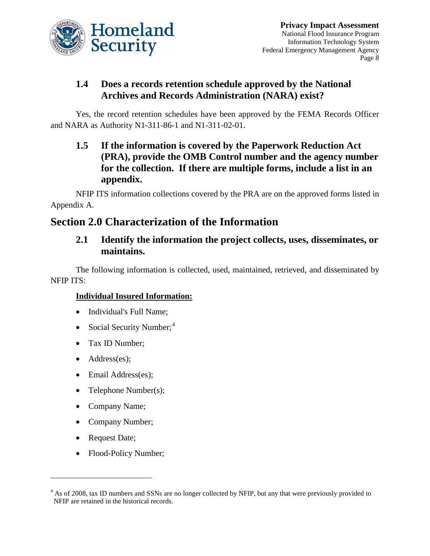

# **1.4 Does a records retention schedule approved by the National Archives and Records Administration (NARA) exist?**

Yes, the record retention schedules have been approved by the FEMA Records Officer and NARA as Authority N1-311-86-1 and N1-311-02-01.

**1.5 If the information is covered by the Paperwork Reduction Act (PRA), provide the OMB Control number and the agency number for the collection. If there are multiple forms, include a list in an appendix.**

NFIP ITS information collections covered by the PRA are on the approved forms listed in Appendix A.

# **Section 2.0 Characterization of the Information**

### **2.1 Identify the information the project collects, uses, disseminates, or maintains.**

The following information is collected, used, maintained, retrieved, and disseminated by NFIP ITS:

### **Individual Insured Information:**

- Individual's Full Name;
- Social Security Number;<sup>[4](#page-7-0)</sup>
- Tax ID Number;
- Address(es);
- Email Address(es);
- Telephone Number(s);
- Company Name;
- Company Number;
- Request Date;

 $\overline{a}$ 

• Flood-Policy Number;

<span id="page-7-0"></span><sup>&</sup>lt;sup>4</sup> As of 2008, tax ID numbers and SSNs are no longer collected by NFIP, but any that were previously provided to NFIP are retained in the historical records.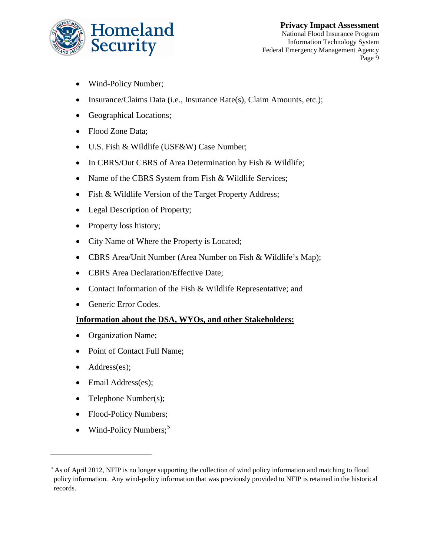

- Wind-Policy Number;
- Insurance/Claims Data (i.e., Insurance Rate(s), Claim Amounts, etc.);
- Geographical Locations;
- Flood Zone Data;
- U.S. Fish & Wildlife (USF&W) Case Number;
- In CBRS/Out CBRS of Area Determination by Fish & Wildlife;
- Name of the CBRS System from Fish & Wildlife Services;
- Fish & Wildlife Version of the Target Property Address;
- Legal Description of Property;
- Property loss history;
- City Name of Where the Property is Located;
- CBRS Area/Unit Number (Area Number on Fish & Wildlife's Map);
- CBRS Area Declaration/Effective Date;
- Contact Information of the Fish & Wildlife Representative; and
- Generic Error Codes.

#### **Information about the DSA, WYOs, and other Stakeholders:**

- Organization Name;
- Point of Contact Full Name;
- Address(es);

- Email Address(es);
- Telephone Number(s);
- Flood-Policy Numbers;
- Wind-Policy Numbers;<sup>[5](#page-8-0)</sup>

<span id="page-8-0"></span><sup>&</sup>lt;sup>5</sup> As of April 2012, NFIP is no longer supporting the collection of wind policy information and matching to flood policy information. Any wind-policy information that was previously provided to NFIP is retained in the historical records.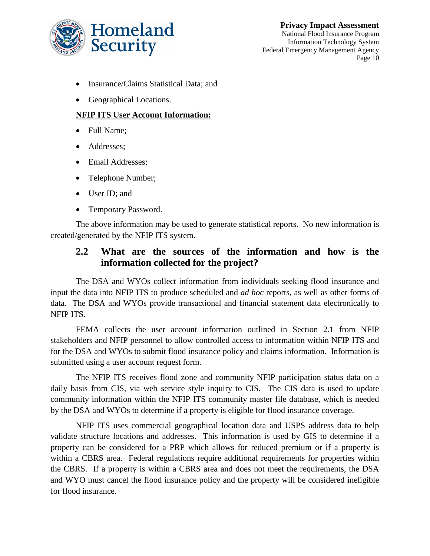

- Insurance/Claims Statistical Data: and
- Geographical Locations.

#### **NFIP ITS User Account Information:**

- Full Name;
- Addresses;
- Email Addresses;
- Telephone Number;
- User ID; and
- Temporary Password.

The above information may be used to generate statistical reports. No new information is created/generated by the NFIP ITS system.

### **2.2 What are the sources of the information and how is the information collected for the project?**

The DSA and WYOs collect information from individuals seeking flood insurance and input the data into NFIP ITS to produce scheduled and *ad hoc* reports, as well as other forms of data. The DSA and WYOs provide transactional and financial statement data electronically to NFIP ITS.

FEMA collects the user account information outlined in Section 2.1 from NFIP stakeholders and NFIP personnel to allow controlled access to information within NFIP ITS and for the DSA and WYOs to submit flood insurance policy and claims information. Information is submitted using a user account request form.

The NFIP ITS receives flood zone and community NFIP participation status data on a daily basis from CIS, via web service style inquiry to CIS. The CIS data is used to update community information within the NFIP ITS community master file database, which is needed by the DSA and WYOs to determine if a property is eligible for flood insurance coverage.

NFIP ITS uses commercial geographical location data and USPS address data to help validate structure locations and addresses. This information is used by GIS to determine if a property can be considered for a PRP which allows for reduced premium or if a property is within a CBRS area. Federal regulations require additional requirements for properties within the CBRS. If a property is within a CBRS area and does not meet the requirements, the DSA and WYO must cancel the flood insurance policy and the property will be considered ineligible for flood insurance.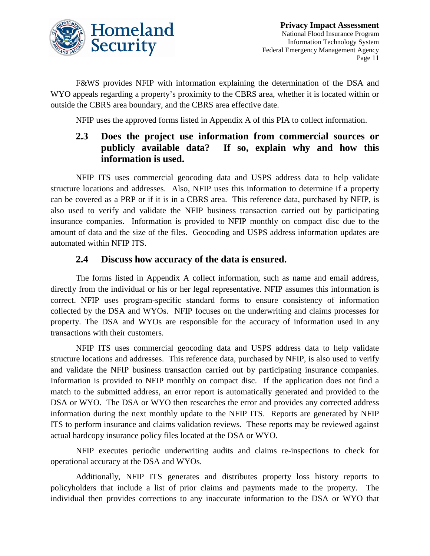

F&WS provides NFIP with information explaining the determination of the DSA and WYO appeals regarding a property's proximity to the CBRS area, whether it is located within or outside the CBRS area boundary, and the CBRS area effective date.

NFIP uses the approved forms listed in Appendix A of this PIA to collect information.

### **2.3 Does the project use information from commercial sources or publicly available data? If so, explain why and how this information is used.**

NFIP ITS uses commercial geocoding data and USPS address data to help validate structure locations and addresses. Also, NFIP uses this information to determine if a property can be covered as a PRP or if it is in a CBRS area. This reference data, purchased by NFIP, is also used to verify and validate the NFIP business transaction carried out by participating insurance companies. Information is provided to NFIP monthly on compact disc due to the amount of data and the size of the files. Geocoding and USPS address information updates are automated within NFIP ITS.

### **2.4 Discuss how accuracy of the data is ensured.**

The forms listed in Appendix A collect information, such as name and email address, directly from the individual or his or her legal representative. NFIP assumes this information is correct. NFIP uses program-specific standard forms to ensure consistency of information collected by the DSA and WYOs. NFIP focuses on the underwriting and claims processes for property. The DSA and WYOs are responsible for the accuracy of information used in any transactions with their customers.

NFIP ITS uses commercial geocoding data and USPS address data to help validate structure locations and addresses. This reference data, purchased by NFIP, is also used to verify and validate the NFIP business transaction carried out by participating insurance companies. Information is provided to NFIP monthly on compact disc. If the application does not find a match to the submitted address, an error report is automatically generated and provided to the DSA or WYO. The DSA or WYO then researches the error and provides any corrected address information during the next monthly update to the NFIP ITS. Reports are generated by NFIP ITS to perform insurance and claims validation reviews. These reports may be reviewed against actual hardcopy insurance policy files located at the DSA or WYO.

NFIP executes periodic underwriting audits and claims re-inspections to check for operational accuracy at the DSA and WYOs.

Additionally, NFIP ITS generates and distributes property loss history reports to policyholders that include a list of prior claims and payments made to the property. The individual then provides corrections to any inaccurate information to the DSA or WYO that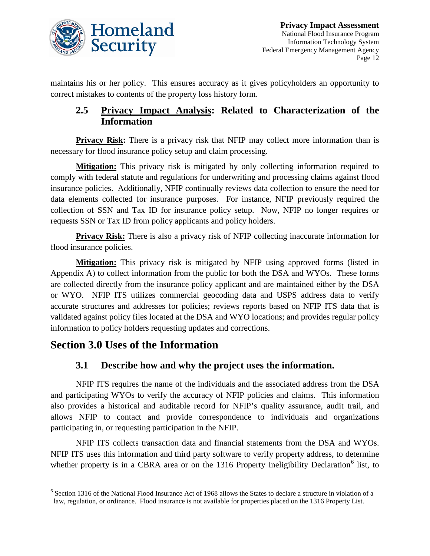

maintains his or her policy. This ensures accuracy as it gives policyholders an opportunity to correct mistakes to contents of the property loss history form.

### **2.5 Privacy Impact Analysis: Related to Characterization of the Information**

**Privacy Risk:** There is a privacy risk that NFIP may collect more information than is necessary for flood insurance policy setup and claim processing.

**Mitigation:** This privacy risk is mitigated by only collecting information required to comply with federal statute and regulations for underwriting and processing claims against flood insurance policies. Additionally, NFIP continually reviews data collection to ensure the need for data elements collected for insurance purposes. For instance, NFIP previously required the collection of SSN and Tax ID for insurance policy setup. Now, NFIP no longer requires or requests SSN or Tax ID from policy applicants and policy holders.

**Privacy Risk:** There is also a privacy risk of NFIP collecting inaccurate information for flood insurance policies.

**Mitigation:** This privacy risk is mitigated by NFIP using approved forms (listed in Appendix A) to collect information from the public for both the DSA and WYOs. These forms are collected directly from the insurance policy applicant and are maintained either by the DSA or WYO. NFIP ITS utilizes commercial geocoding data and USPS address data to verify accurate structures and addresses for policies; reviews reports based on NFIP ITS data that is validated against policy files located at the DSA and WYO locations; and provides regular policy information to policy holders requesting updates and corrections.

# **Section 3.0 Uses of the Information**

 $\overline{a}$ 

### **3.1 Describe how and why the project uses the information.**

NFIP ITS requires the name of the individuals and the associated address from the DSA and participating WYOs to verify the accuracy of NFIP policies and claims. This information also provides a historical and auditable record for NFIP's quality assurance, audit trail, and allows NFIP to contact and provide correspondence to individuals and organizations participating in, or requesting participation in the NFIP.

NFIP ITS collects transaction data and financial statements from the DSA and WYOs. NFIP ITS uses this information and third party software to verify property address, to determine whether property is in a CBRA area or on the 131[6](#page-11-0) Property Ineligibility Declaration<sup>6</sup> list, to

<span id="page-11-0"></span><sup>&</sup>lt;sup>6</sup> Section 1316 of the National Flood Insurance Act of 1968 allows the States to declare a structure in violation of a law, regulation, or ordinance. Flood insurance is not available for properties placed on the 1316 Property List.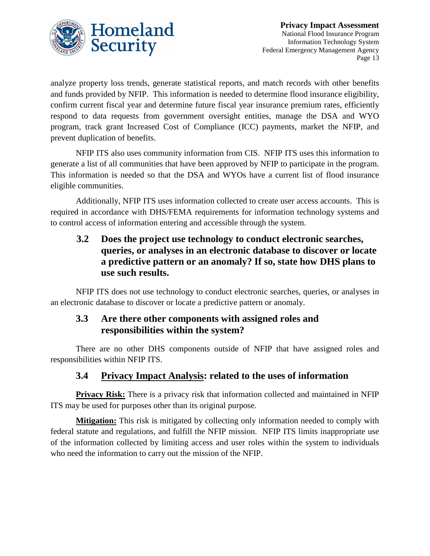

analyze property loss trends, generate statistical reports, and match records with other benefits and funds provided by NFIP. This information is needed to determine flood insurance eligibility, confirm current fiscal year and determine future fiscal year insurance premium rates, efficiently respond to data requests from government oversight entities, manage the DSA and WYO program, track grant Increased Cost of Compliance (ICC) payments, market the NFIP, and prevent duplication of benefits.

NFIP ITS also uses community information from CIS. NFIP ITS uses this information to generate a list of all communities that have been approved by NFIP to participate in the program. This information is needed so that the DSA and WYOs have a current list of flood insurance eligible communities.

Additionally, NFIP ITS uses information collected to create user access accounts. This is required in accordance with DHS/FEMA requirements for information technology systems and to control access of information entering and accessible through the system.

### **3.2 Does the project use technology to conduct electronic searches, queries, or analyses in an electronic database to discover or locate a predictive pattern or an anomaly? If so, state how DHS plans to use such results.**

NFIP ITS does not use technology to conduct electronic searches, queries, or analyses in an electronic database to discover or locate a predictive pattern or anomaly.

### **3.3 Are there other components with assigned roles and responsibilities within the system?**

There are no other DHS components outside of NFIP that have assigned roles and responsibilities within NFIP ITS.

### **3.4 Privacy Impact Analysis: related to the uses of information**

**Privacy Risk:** There is a privacy risk that information collected and maintained in NFIP ITS may be used for purposes other than its original purpose.

**Mitigation:** This risk is mitigated by collecting only information needed to comply with federal statute and regulations, and fulfill the NFIP mission. NFIP ITS limits inappropriate use of the information collected by limiting access and user roles within the system to individuals who need the information to carry out the mission of the NFIP.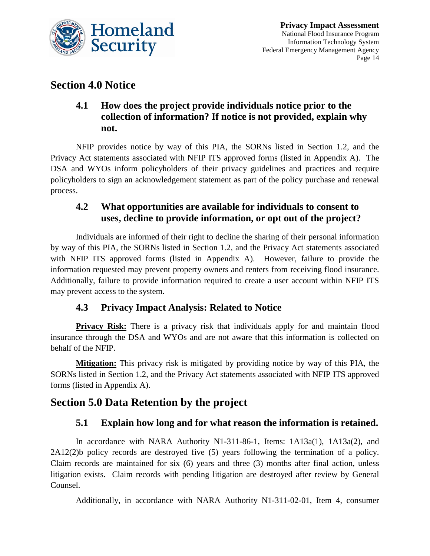

# **Section 4.0 Notice**

### **4.1 How does the project provide individuals notice prior to the collection of information? If notice is not provided, explain why not.**

NFIP provides notice by way of this PIA, the SORNs listed in Section 1.2, and the Privacy Act statements associated with NFIP ITS approved forms (listed in Appendix A). The DSA and WYOs inform policyholders of their privacy guidelines and practices and require policyholders to sign an acknowledgement statement as part of the policy purchase and renewal process.

### **4.2 What opportunities are available for individuals to consent to uses, decline to provide information, or opt out of the project?**

Individuals are informed of their right to decline the sharing of their personal information by way of this PIA, the SORNs listed in Section 1.2, and the Privacy Act statements associated with NFIP ITS approved forms (listed in Appendix A). However, failure to provide the information requested may prevent property owners and renters from receiving flood insurance. Additionally, failure to provide information required to create a user account within NFIP ITS may prevent access to the system.

### **4.3 Privacy Impact Analysis: Related to Notice**

**Privacy Risk:** There is a privacy risk that individuals apply for and maintain flood insurance through the DSA and WYOs and are not aware that this information is collected on behalf of the NFIP.

**Mitigation:** This privacy risk is mitigated by providing notice by way of this PIA, the SORNs listed in Section 1.2, and the Privacy Act statements associated with NFIP ITS approved forms (listed in Appendix A).

# **Section 5.0 Data Retention by the project**

### **5.1 Explain how long and for what reason the information is retained.**

In accordance with NARA Authority N1-311-86-1, Items: 1A13a(1), 1A13a(2), and 2A12(2)b policy records are destroyed five (5) years following the termination of a policy. Claim records are maintained for six (6) years and three (3) months after final action, unless litigation exists. Claim records with pending litigation are destroyed after review by General Counsel.

Additionally, in accordance with NARA Authority N1-311-02-01, Item 4, consumer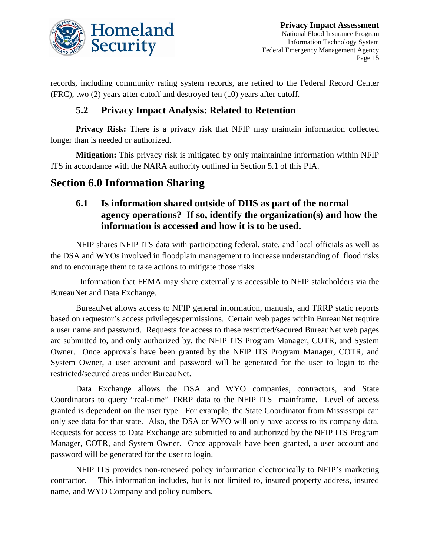

records, including community rating system records, are retired to the Federal Record Center (FRC), two (2) years after cutoff and destroyed ten (10) years after cutoff.

### **5.2 Privacy Impact Analysis: Related to Retention**

**Privacy Risk:** There is a privacy risk that NFIP may maintain information collected longer than is needed or authorized.

**Mitigation:** This privacy risk is mitigated by only maintaining information within NFIP ITS in accordance with the NARA authority outlined in Section 5.1 of this PIA.

# **Section 6.0 Information Sharing**

### **6.1 Is information shared outside of DHS as part of the normal agency operations? If so, identify the organization(s) and how the information is accessed and how it is to be used.**

NFIP shares NFIP ITS data with participating federal, state, and local officials as well as the DSA and WYOs involved in floodplain management to increase understanding of flood risks and to encourage them to take actions to mitigate those risks.

 Information that FEMA may share externally is accessible to NFIP stakeholders via the BureauNet and Data Exchange.

BureauNet allows access to NFIP general information, manuals, and TRRP static reports based on requestor's access privileges/permissions. Certain web pages within BureauNet require a user name and password. Requests for access to these restricted/secured BureauNet web pages are submitted to, and only authorized by, the NFIP ITS Program Manager, COTR, and System Owner. Once approvals have been granted by the NFIP ITS Program Manager, COTR, and System Owner, a user account and password will be generated for the user to login to the restricted/secured areas under BureauNet.

Data Exchange allows the DSA and WYO companies, contractors, and State Coordinators to query "real-time" TRRP data to the NFIP ITS mainframe. Level of access granted is dependent on the user type. For example, the State Coordinator from Mississippi can only see data for that state. Also, the DSA or WYO will only have access to its company data. Requests for access to Data Exchange are submitted to and authorized by the NFIP ITS Program Manager, COTR, and System Owner. Once approvals have been granted, a user account and password will be generated for the user to login.

NFIP ITS provides non-renewed policy information electronically to NFIP's marketing contractor. This information includes, but is not limited to, insured property address, insured name, and WYO Company and policy numbers.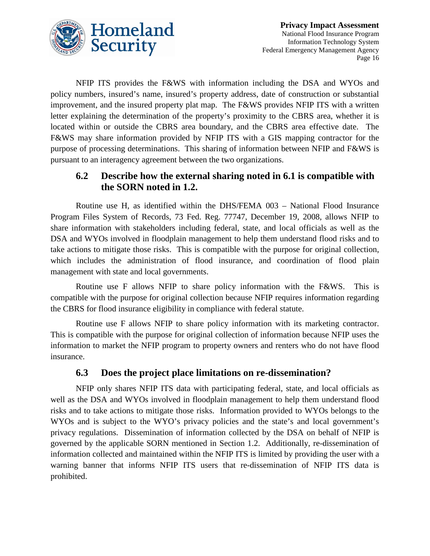

NFIP ITS provides the F&WS with information including the DSA and WYOs and policy numbers, insured's name, insured's property address, date of construction or substantial improvement, and the insured property plat map. The F&WS provides NFIP ITS with a written letter explaining the determination of the property's proximity to the CBRS area, whether it is located within or outside the CBRS area boundary, and the CBRS area effective date. The F&WS may share information provided by NFIP ITS with a GIS mapping contractor for the purpose of processing determinations. This sharing of information between NFIP and F&WS is pursuant to an interagency agreement between the two organizations.

### **6.2 Describe how the external sharing noted in 6.1 is compatible with the SORN noted in 1.2.**

Routine use H, as identified within the DHS/FEMA 003 – National Flood Insurance Program Files System of Records, 73 Fed. Reg. 77747, December 19, 2008, allows NFIP to share information with stakeholders including federal, state, and local officials as well as the DSA and WYOs involved in floodplain management to help them understand flood risks and to take actions to mitigate those risks. This is compatible with the purpose for original collection, which includes the administration of flood insurance, and coordination of flood plain management with state and local governments.

Routine use F allows NFIP to share policy information with the F&WS. This is compatible with the purpose for original collection because NFIP requires information regarding the CBRS for flood insurance eligibility in compliance with federal statute.

Routine use F allows NFIP to share policy information with its marketing contractor. This is compatible with the purpose for original collection of information because NFIP uses the information to market the NFIP program to property owners and renters who do not have flood insurance.

### **6.3 Does the project place limitations on re-dissemination?**

NFIP only shares NFIP ITS data with participating federal, state, and local officials as well as the DSA and WYOs involved in floodplain management to help them understand flood risks and to take actions to mitigate those risks. Information provided to WYOs belongs to the WYOs and is subject to the WYO's privacy policies and the state's and local government's privacy regulations. Dissemination of information collected by the DSA on behalf of NFIP is governed by the applicable SORN mentioned in Section 1.2. Additionally, re-dissemination of information collected and maintained within the NFIP ITS is limited by providing the user with a warning banner that informs NFIP ITS users that re-dissemination of NFIP ITS data is prohibited.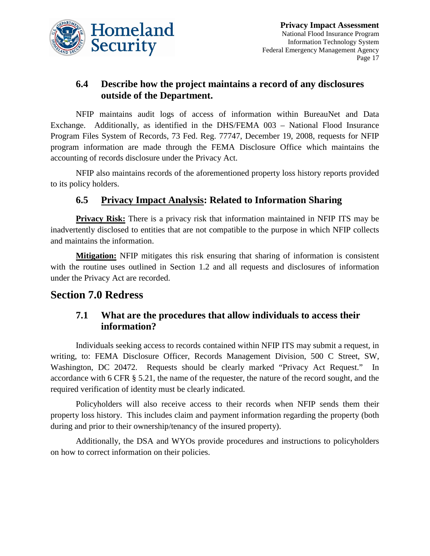

# **6.4 Describe how the project maintains a record of any disclosures outside of the Department.**

NFIP maintains audit logs of access of information within BureauNet and Data Exchange. Additionally, as identified in the DHS/FEMA 003 – National Flood Insurance Program Files System of Records, 73 Fed. Reg. 77747, December 19, 2008, requests for NFIP program information are made through the FEMA Disclosure Office which maintains the accounting of records disclosure under the Privacy Act.

NFIP also maintains records of the aforementioned property loss history reports provided to its policy holders.

# **6.5 Privacy Impact Analysis: Related to Information Sharing**

**Privacy Risk:** There is a privacy risk that information maintained in NFIP ITS may be inadvertently disclosed to entities that are not compatible to the purpose in which NFIP collects and maintains the information.

**Mitigation:** NFIP mitigates this risk ensuring that sharing of information is consistent with the routine uses outlined in Section 1.2 and all requests and disclosures of information under the Privacy Act are recorded.

# **Section 7.0 Redress**

### **7.1 What are the procedures that allow individuals to access their information?**

Individuals seeking access to records contained within NFIP ITS may submit a request, in writing, to: FEMA Disclosure Officer, Records Management Division, 500 C Street, SW, Washington, DC 20472. Requests should be clearly marked "Privacy Act Request." In accordance with 6 CFR § 5.21, the name of the requester, the nature of the record sought, and the required verification of identity must be clearly indicated.

Policyholders will also receive access to their records when NFIP sends them their property loss history. This includes claim and payment information regarding the property (both during and prior to their ownership/tenancy of the insured property).

Additionally, the DSA and WYOs provide procedures and instructions to policyholders on how to correct information on their policies.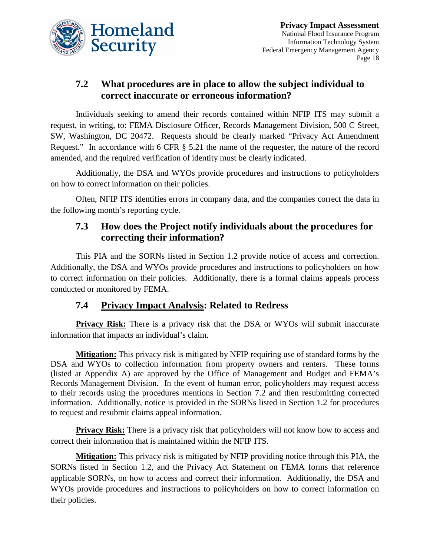

# **7.2 What procedures are in place to allow the subject individual to correct inaccurate or erroneous information?**

Individuals seeking to amend their records contained within NFIP ITS may submit a request, in writing, to: FEMA Disclosure Officer, Records Management Division, 500 C Street, SW, Washington, DC 20472. Requests should be clearly marked "Privacy Act Amendment Request." In accordance with 6 CFR § 5.21 the name of the requester, the nature of the record amended, and the required verification of identity must be clearly indicated.

Additionally, the DSA and WYOs provide procedures and instructions to policyholders on how to correct information on their policies.

Often, NFIP ITS identifies errors in company data, and the companies correct the data in the following month's reporting cycle.

### **7.3 How does the Project notify individuals about the procedures for correcting their information?**

This PIA and the SORNs listed in Section 1.2 provide notice of access and correction. Additionally, the DSA and WYOs provide procedures and instructions to policyholders on how to correct information on their policies. Additionally, there is a formal claims appeals process conducted or monitored by FEMA.

### **7.4 Privacy Impact Analysis: Related to Redress**

**Privacy Risk:** There is a privacy risk that the DSA or WYOs will submit inaccurate information that impacts an individual's claim.

**Mitigation:** This privacy risk is mitigated by NFIP requiring use of standard forms by the DSA and WYOs to collection information from property owners and renters. These forms (listed at Appendix A) are approved by the Office of Management and Budget and FEMA's Records Management Division. In the event of human error, policyholders may request access to their records using the procedures mentions in Section 7.2 and then resubmitting corrected information. Additionally, notice is provided in the SORNs listed in Section 1.2 for procedures to request and resubmit claims appeal information.

**Privacy Risk:** There is a privacy risk that policyholders will not know how to access and correct their information that is maintained within the NFIP ITS.

**Mitigation:** This privacy risk is mitigated by NFIP providing notice through this PIA, the SORNs listed in Section 1.2, and the Privacy Act Statement on FEMA forms that reference applicable SORNs, on how to access and correct their information. Additionally, the DSA and WYOs provide procedures and instructions to policyholders on how to correct information on their policies.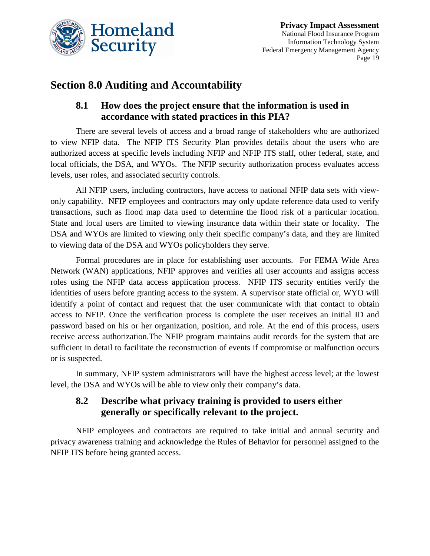

# **Section 8.0 Auditing and Accountability**

### **8.1 How does the project ensure that the information is used in accordance with stated practices in this PIA?**

There are several levels of access and a broad range of stakeholders who are authorized to view NFIP data. The NFIP ITS Security Plan provides details about the users who are authorized access at specific levels including NFIP and NFIP ITS staff, other federal, state, and local officials, the DSA, and WYOs. The NFIP security authorization process evaluates access levels, user roles, and associated security controls.

All NFIP users, including contractors, have access to national NFIP data sets with viewonly capability. NFIP employees and contractors may only update reference data used to verify transactions, such as flood map data used to determine the flood risk of a particular location. State and local users are limited to viewing insurance data within their state or locality. The DSA and WYOs are limited to viewing only their specific company's data, and they are limited to viewing data of the DSA and WYOs policyholders they serve.

Formal procedures are in place for establishing user accounts. For FEMA Wide Area Network (WAN) applications, NFIP approves and verifies all user accounts and assigns access roles using the NFIP data access application process. NFIP ITS security entities verify the identities of users before granting access to the system. A supervisor state official or, WYO will identify a point of contact and request that the user communicate with that contact to obtain access to NFIP. Once the verification process is complete the user receives an initial ID and password based on his or her organization, position, and role. At the end of this process, users receive access authorization.The NFIP program maintains audit records for the system that are sufficient in detail to facilitate the reconstruction of events if compromise or malfunction occurs or is suspected.

In summary, NFIP system administrators will have the highest access level; at the lowest level, the DSA and WYOs will be able to view only their company's data.

# **8.2 Describe what privacy training is provided to users either generally or specifically relevant to the project.**

NFIP employees and contractors are required to take initial and annual security and privacy awareness training and acknowledge the Rules of Behavior for personnel assigned to the NFIP ITS before being granted access.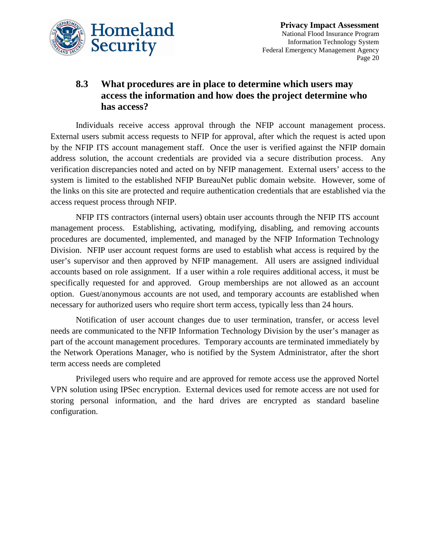

### **8.3 What procedures are in place to determine which users may access the information and how does the project determine who has access?**

Individuals receive access approval through the NFIP account management process. External users submit access requests to NFIP for approval, after which the request is acted upon by the NFIP ITS account management staff. Once the user is verified against the NFIP domain address solution, the account credentials are provided via a secure distribution process. Any verification discrepancies noted and acted on by NFIP management. External users' access to the system is limited to the established NFIP BureauNet public domain website. However, some of the links on this site are protected and require authentication credentials that are established via the access request process through NFIP.

NFIP ITS contractors (internal users) obtain user accounts through the NFIP ITS account management process. Establishing, activating, modifying, disabling, and removing accounts procedures are documented, implemented, and managed by the NFIP Information Technology Division. NFIP user account request forms are used to establish what access is required by the user's supervisor and then approved by NFIP management. All users are assigned individual accounts based on role assignment. If a user within a role requires additional access, it must be specifically requested for and approved. Group memberships are not allowed as an account option. Guest/anonymous accounts are not used, and temporary accounts are established when necessary for authorized users who require short term access, typically less than 24 hours.

Notification of user account changes due to user termination, transfer, or access level needs are communicated to the NFIP Information Technology Division by the user's manager as part of the account management procedures. Temporary accounts are terminated immediately by the Network Operations Manager, who is notified by the System Administrator, after the short term access needs are completed

Privileged users who require and are approved for remote access use the approved Nortel VPN solution using IPSec encryption. External devices used for remote access are not used for storing personal information, and the hard drives are encrypted as standard baseline configuration.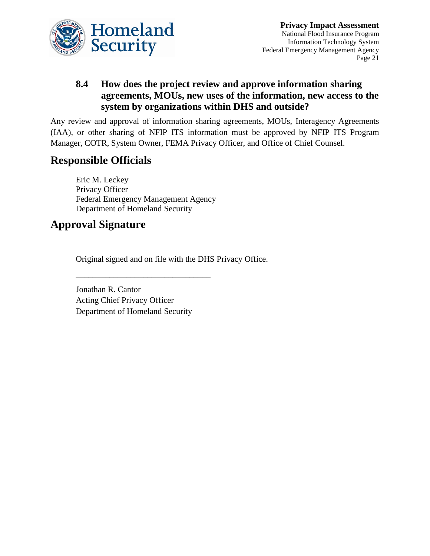

### **8.4 How does the project review and approve information sharing agreements, MOUs, new uses of the information, new access to the system by organizations within DHS and outside?**

Any review and approval of information sharing agreements, MOUs, Interagency Agreements (IAA), or other sharing of NFIP ITS information must be approved by NFIP ITS Program Manager, COTR, System Owner, FEMA Privacy Officer, and Office of Chief Counsel.

# **Responsible Officials**

Eric M. Leckey Privacy Officer Federal Emergency Management Agency Department of Homeland Security

# **Approval Signature**

Original signed and on file with the DHS Privacy Office.

Jonathan R. Cantor Acting Chief Privacy Officer Department of Homeland Security

\_\_\_\_\_\_\_\_\_\_\_\_\_\_\_\_\_\_\_\_\_\_\_\_\_\_\_\_\_\_\_\_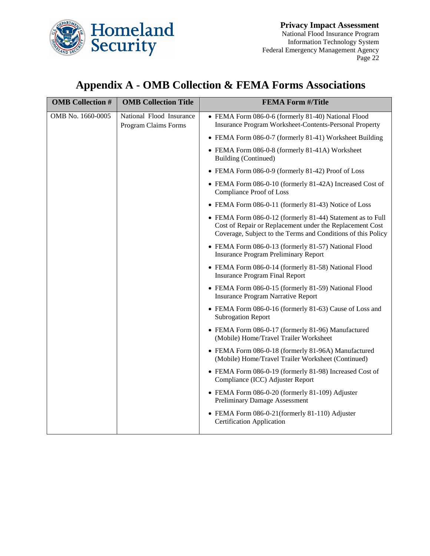

# **Appendix A - OMB Collection & FEMA Forms Associations**

| <b>OMB</b> Collection # | <b>OMB Collection Title</b>                      | <b>FEMA Form #/Title</b>                                                                                                                                                               |
|-------------------------|--------------------------------------------------|----------------------------------------------------------------------------------------------------------------------------------------------------------------------------------------|
| OMB No. 1660-0005       | National Flood Insurance<br>Program Claims Forms | • FEMA Form 086-0-6 (formerly 81-40) National Flood<br><b>Insurance Program Worksheet-Contents-Personal Property</b>                                                                   |
|                         |                                                  | • FEMA Form 086-0-7 (formerly 81-41) Worksheet Building                                                                                                                                |
|                         |                                                  | • FEMA Form 086-0-8 (formerly 81-41A) Worksheet<br>Building (Continued)                                                                                                                |
|                         |                                                  | • FEMA Form 086-0-9 (formerly 81-42) Proof of Loss                                                                                                                                     |
|                         |                                                  | • FEMA Form 086-0-10 (formerly 81-42A) Increased Cost of<br>Compliance Proof of Loss                                                                                                   |
|                         |                                                  | • FEMA Form 086-0-11 (formerly 81-43) Notice of Loss                                                                                                                                   |
|                         |                                                  | • FEMA Form 086-0-12 (formerly 81-44) Statement as to Full<br>Cost of Repair or Replacement under the Replacement Cost<br>Coverage, Subject to the Terms and Conditions of this Policy |
|                         |                                                  | • FEMA Form 086-0-13 (formerly 81-57) National Flood<br><b>Insurance Program Preliminary Report</b>                                                                                    |
|                         |                                                  | • FEMA Form 086-0-14 (formerly 81-58) National Flood<br><b>Insurance Program Final Report</b>                                                                                          |
|                         |                                                  | • FEMA Form 086-0-15 (formerly 81-59) National Flood<br><b>Insurance Program Narrative Report</b>                                                                                      |
|                         |                                                  | • FEMA Form 086-0-16 (formerly 81-63) Cause of Loss and<br><b>Subrogation Report</b>                                                                                                   |
|                         |                                                  | • FEMA Form 086-0-17 (formerly 81-96) Manufactured<br>(Mobile) Home/Travel Trailer Worksheet                                                                                           |
|                         |                                                  | • FEMA Form 086-0-18 (formerly 81-96A) Manufactured<br>(Mobile) Home/Travel Trailer Worksheet (Continued)                                                                              |
|                         |                                                  | • FEMA Form 086-0-19 (formerly 81-98) Increased Cost of<br>Compliance (ICC) Adjuster Report                                                                                            |
|                         |                                                  | • FEMA Form 086-0-20 (formerly 81-109) Adjuster<br><b>Preliminary Damage Assessment</b>                                                                                                |
|                         |                                                  | • FEMA Form 086-0-21(formerly 81-110) Adjuster<br><b>Certification Application</b>                                                                                                     |